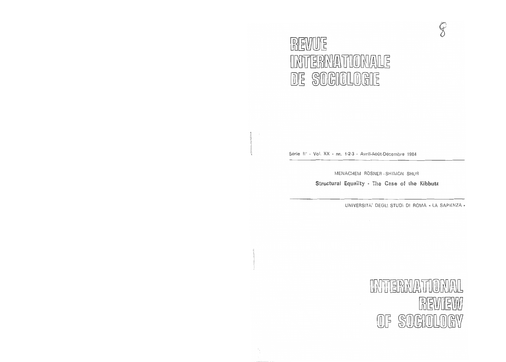# **REVUE**  $\blacksquare$  interprimation  $\blacksquare$  $DE$   $S0$  $GIO$  $L0$  $GIE$

Série II<sup>e</sup> - Vol. XX - nn. 1-2-3 - Avril-Août-Décembre 1984

Ii

MENACHEM ROSNER-SHIMON SHUR

**Structural Equality** - Case of **the Kibbutz** 

UNIVERSITA' DEGLI STUDI DI ROMA « LA SAPIENZA"

 $\mathcal{G}$ 

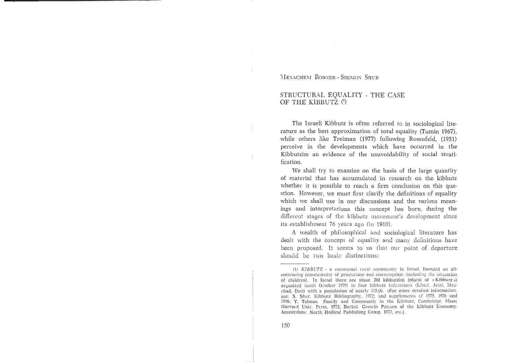MENACHEM ROSNER - SHIMON SHUR

## STRUCTURAL EQUALITY - THE CASE OF THE KIBBUTZ<sup>(1)</sup>

The Israeli Kibbutz is often referred to in sociological literature as the best approximation of total equality (Tumin 1967), while others like Treiman (1977) following Rosenfeld, (1951) perceive in the developments which have occurred in the Kibbutzim an evidence of the unavoidability of social stratification.

We shall try to examine on the basis of the large quantity of material that has accumulated in research on the kibbutz whether it is possible to reach a firm conclusion on this question. However, we must first clarify the definitions of equality which we shall use in our discussions and the various meanings and interpretations this concept has born, during the different stages of the kibbutz movement's development since its establishment 76 years ago (in 1910).

A wealth of philosophical and sociological literature has dealt with the concept of equality and many definitions have been proposed. It seems to us that our point of departure should be two basic distinctions:

<sup>(1)</sup>  $KIBBUTZ$  - a communal rural community in Israel, founded on allembracing communality of production and consumption (including the education of children). In Israel there are about 260 kibbutzim (plural of « Kibbutz ») organized (until October 1979) in four kibbutz federations (Ichud, Artzi, Meuchad, Dati) with a population of nearly 115,00. (For more detailed information, see: S, Shur, Kibbutz Bibliography, 1972; and supplements of 1975, 1976 and 1978; Y. Talmon. Family and Community in the Kibbutz, Cambridge, Mass; Harvard Univ, Press, 1972; Barkai. Growth Pattern of the Kibbutz Economy. Amsterdam: North Holland Publishing Comp. 1977, etc.).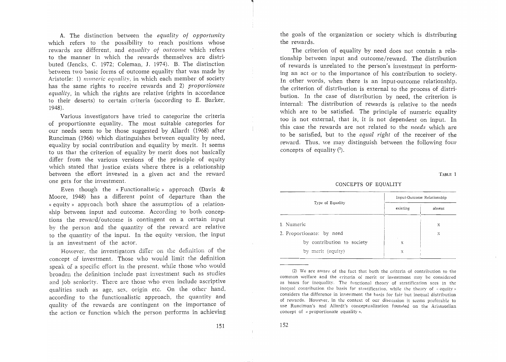A. The distinction between the *equality of opportunity*  which refers to the possibility to reach positions whose rewards are different, and *equality of outcome* which refers to the manner in which the rewards themselves are distributed (Jencks, C. 1972; Coleman, J. 1974). B. The distinction between two basic forms of outcome equality that was made by Aristotle: 1) *numeric equality*, in which each member of society has the same rights to receive rewards and 2) *proportionate equality,* in which the rights are relative (rights in accordance to their deserts) to certain criteria (according to E. Barker, 1948).

Various investigators have tried to categorize the criteria of proportionate equality. The most suitable categories for our needs seem to be those suggested by Allardt (1968) after Runciman (1966) which distinguishes between equality by need, equality by social contribution and equality by merit. It seems to us that the criterion of equality by merit does not basically differ from the various versions of the principle of equity which stated that justice exists where there is a relationship between the effort invested in a given act and the reward one gets for the investment.

Even though the «Functionalistic» approach (Davis & Moore, 1948) has a different point of departure than the « equitv)} approach both share the assumption of a relationship between input and outcome. According to both conceptions the reward/outcome is contingent on a certain input by the person and the quantity of the reward are relative to the quantity of the input. In the equity version, the input is an investment of the actor.

However, the investigators differ on the definition of the concept of investment. Those who would limit the definition speak of a specific effort in the present, while those who would broaden the definition include past investment such as studies and job seniority. There are those who even include ascriptive qualities such as age, sex, origin etc. On the other hand, according to the functionalistic approach, the quantity and quality of the rewards are contingent on the importance of the action or function which the person performs in achieving the goals of the organization or society which is distributing the rewards.

The criterion of equality by need does not contain a relationship between input and outcome/reward. The distribution of rewards is unrelated to the person's investment in performing an act or to the importance of his contribution to society. In other words, when there is an input-outcome relationship, the criterion of distribution is external to the process of distribution. In the case of distribution by need, the criterion is internal: The distribution of rewards is relative to the needs which are to be satisfied. The principle of numeric equality too is not external, that is, it is not dependent on input. In this case the rewards are not related to the *needs* which are to be satisfied, but to the *equal right* of the receiver of the reward. Thus, we may distinguish between the following four concepts of equality  $(2)$ .

TABLE 1

#### CONCEPTS OF EQUALITY

| Type of Equality           | Input-Outcome Relationship |        |
|----------------------------|----------------------------|--------|
|                            | existing                   | absent |
| 1. Numeric                 |                            | x      |
| 2. Proportionate: by need  |                            | X      |
| by contribution to society | х                          |        |
| by merit (equity)          | Х                          |        |

(2) We are aware of the fact that both the criteria of contribution to the common welfare and the criteria of merit or investment may be considered as bases for inequality. The functional theory of stratification sees in the inequal contribution the basis for stratification, while the theory of « equity » considers the difference in investment the basis for fair but inequal distribution of rewards. However, in the context of our discussion it seems preferable to use Runciman's and Allardt's conceptualization founded on the Aristotelian concept of « proportionate equality».

-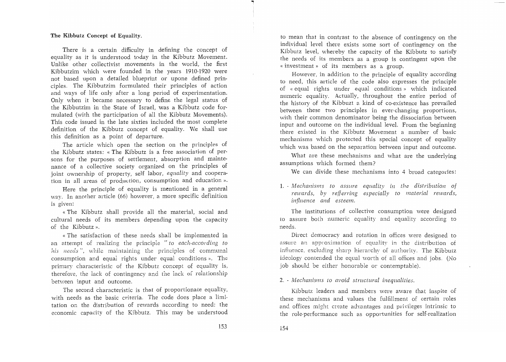## The Kibbutz Concept of Equality.

There is a certain difficulty in defining the concept of equality as it is understood today in the Kibbutz Movement. Unlike other collectivist movements in the world, the first Kibbutzim which were founded in the years 1910-1920 were not based upon a detailed blueprint or upone defined principles. The Kibbutzim formulated their principles of action and ways of life only after a long period of experimentation. Only when it became necessary to define the legal status of the Kibbutzim in the State of Israel, was a Kibbutz code formulated (with the participation of all the Kibbutz Movements). This code issued in the late sixties included the most complete definition of the Kibbutz concept of equality. We shall use this definition as a point of departure.

The article which open the section on the principles of the Kibbutz states: «The Kibbutz is a free association of persons for the purposes of settlement, absorption and maintenance of a collective society organized on the principles of joint ownership of property, self labor, *equality* and cooperation in all areas of production, consumption and education».

Here the principle of equality is mentioned in a general way. In another article (66) however, a more specific definition is given:

«The Kibbutz shall provide all the material, social and cultural needs of its members depending upon the capacity of the Kibbutz».

«The satisfaction of these needs shall be implemented in an attempt of realizing the principle *"to each-according to his needs",* while maintaining the principles of communal consumption and equal rights under equal conditions». The primary characteristic of the Kibbutz concept of equality is, therefore, the lack of contingency and the lack of relationship between input and outcome.

The second characteristic is that of proportionate equality, with needs as the basic criteria. The code does place a limitation on the distribution of rewards according to need: the economic capacity of the Kibbutz. This may be understood

to mean that in contrast to the absence of contingency on the individual level there exists some sort of contingency on the Kibbutz level, whereby the capacity of the Kibbutz to satisfy the needs of its members as a group is contingent upon the « investment» of its members as a group.

However, in addition to the principle of equality according to need, this article of the code also expresses the principle of «equal rights under equal conditions» which indicated numeric equality. Actually, throughout the entire period of the history of the Kibbuzt a kind of co-existence has prevailed between these two principles in ever-changing proportions, with their common denominator being the dissociation between input and outcome on the individual level. From the beginning there existed in the Kibbutz Movement a number of basic mechanisms which protected this special concept of equality which was based on the separation between input and outcome.

What are these mechanisms and what are the underlying assumptions which formed them?

We can divide these mechanisms into 4 broad categories:

1. - *Mechanisms to assure equality in the distribution of rewards, by refierring especially to material rewards, influence and esteem.* 

The institutions of collective consumption were designed to assure both numeric equality and equality according to needs.

Direct democracy and rotation in offices were designed to assure an approximation of equality in the distribution of influence, excluding sharp hierarchy of authority. The Kibbutz ideology contended the equal worth of all offices and jobs. (No job should be either honorable or contemptable).

2. - *Mechanisms to avoid structural inequalities.* 

Kibbutz leaders and members were aware that inspite of these mechanisms and values the fulfillment of certain roles and offices might create advantages and privileges intrinsic to the role-performance such as opportunities for self-realization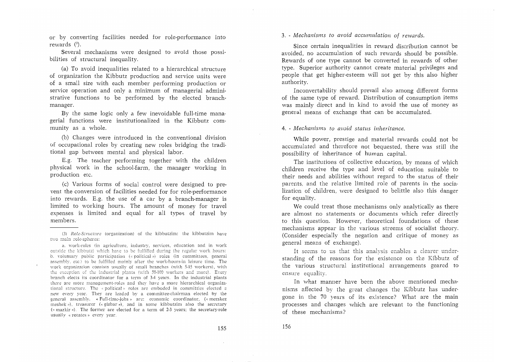or by converting facilities needed for role-performance into rewards  $(3)$ .

Several mechanisms were designed to avoid those possibilities of structural inequality.

(a) To avoid inequalities related to a hierarchical structure of organization the Kibbutz production and service units were of a small size with each member performing production or service operation and only a minimum of managerial administrative functions to be performed by the elected branchmanager.

By the same logic only a few inevoidable full-time managerial functions were institutionalized in the Kibbutz community as a whole.

(b) Changes were introduced in the conventional division of occupational roles by creating new roles bridging the traditional gap between mental and physical labor.

E.g. The teacher performing together with the children physical work in the school-farm, the manager working in production etc.

(c) Various forms of social control were designed to prevent the conversion of facilities needed for for role-performance into rewards. E.g. the use of a car by a branch-manager is limited to working hours. The amount of money for travel expenses is limited and equal for all types of travel bv members.

3. - *Mechanisms to avoid accumulation of rewards.* 

Since certain inequalities in reward distribution cannot be avoided, no accumulation of such rewards should be possible. Rewards of one type cannot be converted in rewards of other type. Superior authority cannot create material privileges and people that get higher-esteem will not get by this also higher authority.

Inconvertability should prevail also among different forms of the same type of reward. Distribution of consumption items was mainly direct and in kind to avoid the use of money as general means of exchange that can be accumulated.

## 4. - *Mechanisms to avoid status inheritance.*

While power, prestige and material rewards could not be accumulated and therefore not bequested, there was still the possibility of inheritance of human capital.

The institutions of collective education, by means of which children receive the type and level of education suitable to their needs and abilities without regard to the status of their parents, and the relative limited role of parents in the socialization of children, were designed to belittle also this danger for equality.

We could treat those mechanisms only analytically as there are almost no statements or documents which refer directly to this question. However, theoretical foundations of these mechanisms appear in the various streems of socialist theory. (Consider especially the negation and critique of money as general means of exchange).

It seems to us that this analysis enables a clearer understanding of the reasons for the existence on the Kibbutz of the various structural institutional arrangements geared to ensure equality.

In what manner have been the above mentioned mechanisms affected by the great changes the Kibbutz has undergone in the 70 years of its existence? What are the main processes and changes which are relevant to the functioning of these mechanisms?

<sup>(3)</sup> Ro!c-Siructure (organization) of the kibbutzim: the kibbutzim haw two main role-spheres:

a. work-roles (in agriculture, industry, sen'ices, education and in work outside the kibbutz) which have to be fulfilled during the regular work hours: b. voluntary public participation (« political ») roles (in committees, general assembly, etc.) to be fulfilled mainly after the work-hours-in leisure time. The work organization consists usually of small branches (with 5-15 workers), with the exception of the industrial plants (with  $50-100$  workers and more). Every branch elects its coordinator for a term of 3-4 years. In the industrial plants there are more management-roles and they have a more hierarchical organizational structure. The « political » roles are emboded in committies elected a new eyery year. They are leaded by a committee-chairman elected by the general assembly. «Full-time-jobs» are: economic coordinator, («merakez meshek »), treasurer (« gizbar »), and in some kibbutzim also the secretary  $({\kappa}$  mazkir »). The former are elected for a term of 2-3 years; the secretary-role usually « rotates» eyery year.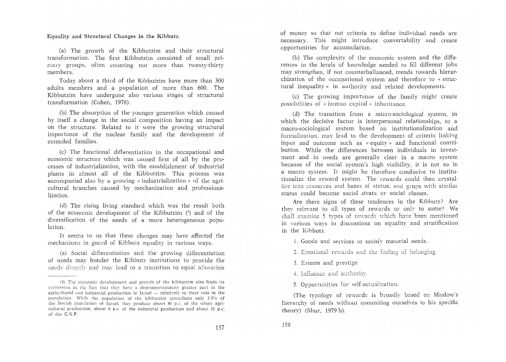Equality and Structural Changes **in** the Kibbutz.

(a) The growth of the Kibbutzim and their structural transformation. The first Kibbutzim consisted of small primary groups, often counting not more than twenty-thirty members.

Today about a third of the Kibbutzim have more than 300 adults members and a population of more than 600. The Kibbutzim have undergone also various stages of structural transformation (Cohen, 1976).

(b) The absorption of the younger generation which caused by itself a change in the social composition having an impact on the structure. Related to it were the growing structural importance of the nuclear family and the development of extended families.

(c) The functional differentiation in the occupational and economic structure which was caused first of all by the processes of industrialization, with the establishment of industrial plants in almost all of the Kibbutzim. This process was accompanied also by a growing « industrialization» of the agri· cultural branches caused by mechanization and professionalization.

(d) The rising living standard which was the result both of the economic development of the Kibbutzim (4) and of the diversification of the needs of a more heterogeneous population.

It seems to us that these changes may have affected the mechanisms in guard of Kibbutz equality in various ways.

(a) Social differentiation and the growing differentiation of needs may hunder the Kibbutz institutions to provide the needs directly and may lead to a transition to equal allocation

of money so that not criteria to define individual needs are necessary. This might introduce convertability and create opportunities for accumulation.

Cb) The complexity of the economic system and the differences in the levels of knowledge needed to fill different jobs may strengthen, if not counterballanced, trends towards hierarchization of the occupational system and therefore to « structural inequality» in authority and related developments.

(c) The growing importance of the family might create possibilities of « human capital» inheritance.

(d) The transition from a micro-sociological system, in which the decisive factor is interpersonal relationships, to a macro-sociological system based on institutionalization and formalization, may lead to the development of criteria linking input and outcome such as « equity» and functional contribution. While the differences between individuals in investment and in needs are generally clear in a macro system because of the social system's high visibility, it is not so in a macro system. It might be therefore conducive to institutionalize the reward system. The rewards could then crystallize into resources and bases of status, and grups with similar status could become social strata or social classes.

Are there signs of these tendences in the Kibbutz? Are they releyant to all types of rewards or only to some? We shall examine 5 types of rewards which have been mentioned in various ways in discussions on equality and stratification in the Kibbutz.

1. Goods and services to satisfy material needs.

2. Emotional rewards and the feeling of belonging.

3, Esteem and prestige,

158

4. Influence and

5. Opportunities for self-actualization.

(The typology of rewards is broadly based on Maslow's hierarchy of needs without commiting ourselves to his specific theory) (Shur, 1979 b).

<sup>(4)</sup> The economic deye!opment and growth of the kibbutzim also finds its expression in the fact that they have a disproportionately greater part in the agricultural and industrial production in Israel  $-$  relatively to their rate in the population.. While the population of the kibbutzim contribute only 33% of the Jewish popdation of Israel, they produce about 40 p.c. of the whole agricultural production, about 6 p,c, of the industrial production and about  $11$  p,c. of the G.N.P,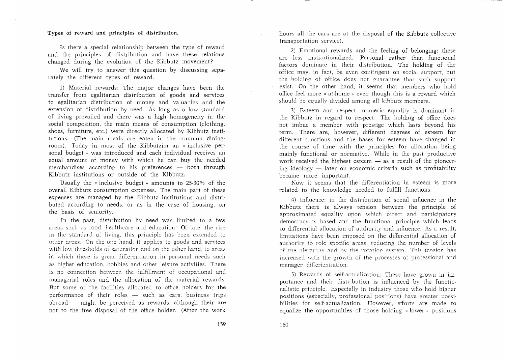Types of reward and principles of distribution.

Is there a special relationship between the type of reward and the principles of distribution and have these relations changed during the evolution of the Kibbutz movement?

We will try to answer this question by discussing separately the different types of reward.

1) Material rewards: The major changes have been the transfer from egalitarian distribution of goods and services to egalitarian distribution of money and valuables and the extension of distribution by need. As long as a low standard of living prevailed and there was a high homogeneity in the social composition, the main means of consumption (clothing, shoes, furniture, etc.) were directly allocated by Kibbutz institutions. (The main meals are eaten in the common dining· room). Today in most of the Kibbutzim an «inclusive personal budget» was introduced and each individual receives an equal amount of money with which he can buy the. needed merchandises according to his preferences - both through Kibbutz institutions or outside of the Kibbutz.

Usually the «inclusive budget» amounts to 25·30% of the overall Kibbutz consumption expenses. The main part of these expenses are managed by the Kibbutz institutions and distributed according to needs, or as in the case of housing, on the basis of seniority.

In the past, distribution by need was limited to a few areas such as food, healthcare and education. Of late, the rise in the standard of living, this principle has been extended to other areas. On the one hand. it applies to goods and services with low thresholds of saturation and on the other hand, to areas in which there is great differentiation in personal needs such as higher education, hobbies and other leisure activities, There is no connection between fulfillment of occupational and managerial roles and the allocation of the material rewards. But some of the facilities allocated to office holders for the performance of their roles  $-$  such as cars, business trips abroad - might be perceived as rewards, although their are not to the free disposal of the office holder. (After the work hours all the cars are at the disposal of the Kibbutz collective transportation service).

2) Emotional rewards and the feeling of belonging: these are less institutionalized. Personal rather than functional factors dominate in their distribution. The holding of the office may, in fact, be even contingent on social support, but the holding of office does not guarantee that such support exist. On the other hand, it seems that members who hold office feel more « at-home » even though this is a reward which should be equally divided among all kibbutz members.

3) Esteem and respect: numeric equality is dominant in the Kibbutz in regard to respect. The holding of office does not imbue a member with prestige which lasts beyond his term. There are, however, different degrees of esteem for different functions and the bases for esteem have changed in the course of time with the principles for allocation being mainly functional or normative. While in the past productive work received the highest esteem  $-$  as a result of the pioneering ideology  $-$  later on economic criteria such as profitability became more important.

Now it seems that the differentiation in esteem is more related to the knowledge needed to fulfill functions.

4) Influence: in the distribution of social influence in the Kibbutz there is always tension between the principle of approximated equality upon which direct and participatory democracy is based and the functional principle which leads to differential allocation of authority and influence. As a result, limitations have been imposed on the differential allocation of authority to role specific areas, reducing the number of levels of the hierarchy and by the rotation system. This tension has increased with the growth of the processes of professional and manager differientiation.

5) Rewards of self-actualization: These have grown in importance and their distribution is influenced by the functionalistic principle. Especially in industry those who hold higher positions (especially, professional positions) haye greater possi· bilities for self·actualization. However, efforts are made to equalize the opportunities of those holding «lower» positions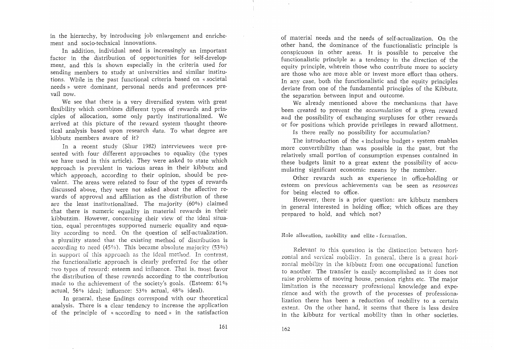in the hierarchy, by introducing job enlargement and enrichement and socio-technical innovations.

In addition, individual need is increasingly an important factor in the distribution of opportunities for self-development, and this is shown especially in the criteria used for sending members to study at universities and similar institutions. While in the past functional criteria based on « societal needs» were dominant, personal needs and preferences prevail now.

We see that there is a very diversified system with great flexibilitv which combines different types of rewards and principles of allocation, some only partly institutionalized. We arrived at this picture of the reward system thought theoretical analysis based upon research data. To what degree are kibbutz members aware of it?

In a recent study (Shur 1982) interviewees were presented with four different approaches to equality (the types we have used in this article). They were asked to state which approach is prevalent in various areas in their kibbutz and which approach, according to their opinion, should be prevalent. The areas were related to four of the types of rewards discussed above, they were not asked about the affective rewards of approval and affiliation as the distribution of these are the least institutionalized. The majority (60%) claimed that there is numeric equality in material rewards in their kibbutzim. However, concerning their view of the ideal situation, equal percentages supported numeric equality and equalitv according to need. On the question of self-actualization, a plurality stated that the existing method of distribution is according to need (45%). This became absolute majority (53%) in support of this approach as the ideal method. In contrast, the functionalistic approach is clearly preferred for the other two types of reward: esteem and influence. That is, most favor the distribution of these rewards according to the contribution made to the achievement of the society's goals. (Esteem: 61% actual, 56% ideal; influence: 53% actual, 48% ideal).

In general, these findings correspond with our theoretical analysis. There is a clear tendency to increase the application of the principle of « according to need » in the satisfaction

of material needs and the needs of self-actualization. On the other hand, the dominance of the functionalistic principle is conspicuous in other areas. It is possible to perceive the functionalistic principle as a tendency in the direction of the equity principle, wherein those who contribute more to society are those who are more able or invest more effort than others. In any case, both the functionalistic and the equity principles deviate from one of the fundamental principles of the Kibbutz, the separation between input and outcome.

We already mentioned above the mechanisms that have been created to prevent the *accumulation* of a given reward and the possibility of exchanging surpluses for other rewards or for positions which provide privileges in reward allotment.

Is there really no possibility for accumulation?

The introduction of the « inclusive budget» system enables more convertibility than was possible in the past, but the relatively small portion of consumption expenses contained in these budgets limit to a great extent the possibility of accumulating significant economic means by the member.

Other rewards such as experience in office-holding or esteem on previous achievements can be seen as *resources*  for being elected to office.

However, there is a prior question: are kibbutz members in general interested in holding office; which offices are they prepared to hold, and which not?

Role allocation, mobility and elite-formation.

Relevant to this question is the distinction between horizontal and vertical mobility. In general, there is a great horizontal mobility in the kibbutz from one occupational function to another. The transfer is easily accomplished as it does not raise problems of moving house, pension rights etc. The major limitation is the necessary professional knowledge and experience and with the growth of the processes of professionalization there has been a reduction of mobility to a certain extent. On the other hand, it seems that there is less desire in the kibbutz for vertical mobility than in other societies.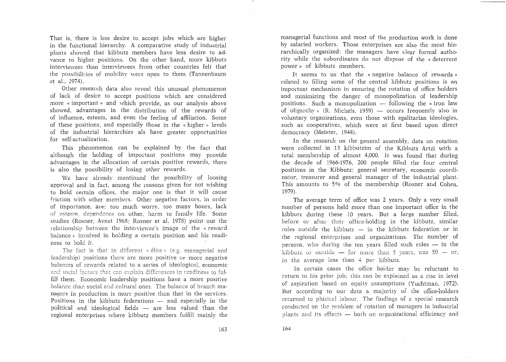That is, there is less desire to accept jobs which are higher in the functional hierarchy. A comparative study of industrial plants showed that kibbutz members have less desire to advance to higher positions. On the other hand, more kibbutz interviewees than interviewees from other countries felt that the possibilities of mobility were open to them (Tannenbaum et al., 1974).

Other research data also reveal this unusual phenomenon of lack of desire to accept positions which are considered more «important» and which provide, as our analysis above showed, advantages in the distribution of the rewards of of influence, esteem, and even the feeling of affiliation. Some of these positions, and especially those in the « higher» levels of the industrial hierarchies als have greater opportunities for self-actualization.

This phenomenon can be explained by the fact that although the holding of important positions may provide advantages in the allocation of certain positive rewards, there is also the possibility of losing other rewards.

We have already mentioned the possibility of loosing approval and in fact, among the reasons given for not wishing to hold certain offices, the major one is that it will cause friction with other members. Other negative factors, in order of importance, are: too much worry, too many hours, lack of esteem, dependence on other, harm to family life. Some studies (Rosner, Avnat 1968; Rosner et al. 1978) point out the relationship between the interviewee's image of the « reward balance» involved in holding a certain position and his readiness to hold it.

The fact is that in different « élite » (e.g. managerial and leadership) positions there are more positive or more negative balances of rewards related to a series of ideological, economic and social factors that can explain differences in readiness to fulfill them. Economic leadership positions have a more positive balance than social and cultural ones. The balance of branch managers in production is more positive than that in the services. Positions in the kibbutz federations  $-$  and especially in the political and ideological fields  $-$  are less valued than the regional enterprises where kibbutz members fulfill mainly the managerial functions and most of the production work is done by salaried workers. Those enterprises are also the most hierarchically organized: the managers have clear formal authority while the subordinates do not dispose of the «deterrent power» of kibbutz members.

It seems to us that the « negative balance of rewards» related to filling some of the central kibbutz positions is an important mechanism in ensuring the rotation of office holders and minimizing the danger of monopolization of leadership positions. Such a monopolization  $-$  following the « iron law of oligarchy» (R. Michels, 1959) — occurs frequently also in voluntary organizations, even those with egalitarian ideologies, such as cooperatives, which were at first based upon direct democracy (Meister, 1948).

In the research on the general assembly, data on rotation were collected in 13 kibbutzim of the Kibbutz Artzi with a total membership of almost 4,000. It was found that during the decade of 1966-1976, 200 people filled the four central positions in the Kibbutz: general secretary, economic coordinator, treasurer and general manager of the industrial plant. This amounts to 5% of the membership (Rosner and Cohen, 1979).

The average term of office was 2 years. Only a very small number of persons held more than one important office in the kibbutz during these 10 years. But a large number filled, before or after their office-holding in the kibbutz, similar roles outside the kibbutz  $-$  in the kibbutz federation or in the regional enterprises and organizations. The number of persons, who during the ten years filled such roles  $-$  in the kibbutz or outside  $-$  for more than 5 years, was 50  $-$  or, in the average less than 4 per kibbutz.

In certain cases the office holder may be reluctant to return to his prior job; this can be explained as a rise in level of aspiration based on equity assumptions (Yuchtman, 1972). But according to our data a majority of the office-holders returned to phisical labour. The findings of a special research conducted on the problem of rotation of managers in industrial plants and its effects  $-$  both on organizational efficiency and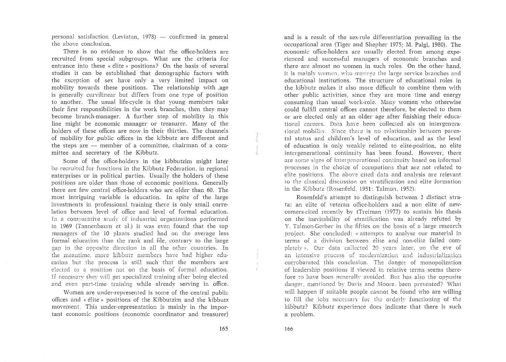personal satisfaction (Leviatan, 1978)  $-$  confirmed in general the above conclusion.

There is no evidence to show that the office-holders are recruited from special subgroups. What are the criteria for entrance into these « élite » positions? On the basis of several studies it can be established that demographic factors with the exception of sex have only a very limited impact on mobility towards these positions. The relationship with ,age is generally curvilinear but differs from one type of position to another. The usual life-cycle is that young members take their first responsibilities in the work branches, then they may become branch-manager. A further step of mobility in this line might be economic manager or treasurer. Many of the holders of these offices are now in their thirties. The channels of mobility for public offices in the kibbutz are different and the steps are  $-$  member of a committee, chairman of a committee and secretary of the Kibbutz.

Some of the office-holders in the kibbutzim might later be recruited for functions in the Kibbutz Federation, in regional enterprises or in political parties. Usually the holders of these positions are older than those of economic positions. Generally there are few central office-holders who are older than 60. The most intriguing variable is education. In spite of the large investments in professional training there is only small correlation between level of office and level of formal education. In a comparative study of industrial organizations performed in 1969 (Tannenbaum et a1.) it was even found that the top managers of the 10 plants studied had on the average less formal education than the rank and file, contrary to the large gap in the opposite direction in all the other countries. In the meantime, more kibbutz members have had higher education but the process is still such that the members are elected to a position not on the basis of formal education. If necessary they will get specialized training after being elected and even part-time training while already serving in office.

'Nomen are under-represented is some of the central public offices and « elite» positions of the Kibbutzim and the kibbutz movement. This under-representation is mainly in the important economic positions (economic coordinator and treasurer)

and is a result of the sex~role differentiation prevailing in the occupational area (Tiger and Shepher 1975; M. Palgi, 1980). The economic office-holders are usually elected from among experienced and successful managers of economic branches and there are almost no vwmen in such roles. On the .other hand, it is mainly women, who manage the large service branches and educational institutions. The structure of educational roles in the kibbutz makes it also more difficult to combine them with other public activities, since they are more time and energy consuming than usual work-role. Many women who otherwise could fulfill central offices cannot therefore, be elected to them or are elected only at an older age after finishing their educational careers. Data have been collected als on intergenerational mobility. Since there is no relationship between parental status and children's level of education, and as the level of education is only weakly related to elite-position, no elite intergenerational continuity has been found. However, there are some signs of intergenerational continuity based on informal processes in the choice of occupations that are not related to elite positions. The aboyc cited data and analysis are relevant to the classical discussion on stratification and elite formation in the Kibbutz (Rosenfeld, 1951; Talmon, 1952).

Rosenfeld's attempt to distinguish between 2 distinct strata: an elite of veteran office~holders and a non elite of newcomers-cited recently by tTreiman (1977) to sustain his thesis on the inevitability of stratification was alreadv refuted by Y. Talmon~Gerber in the fifties on the basis of a large research project. She concluded: « attempts to analyse our material in terms of a division between elite and non-elite failed completely». Our data callected 20 years later, on the eve of an intensiye process of modernization and industrialization corrobarated this conclusion. The danger of monopolization of leadership positions if viewed in relative terms seems therefore to have been generally avoided. But has also the opposite danger, mentioned by Davis and Moore, been prevented? What will happen if suitable people cannot be found who are willing to fill the jobs necessary for the orderly functioning of the kibbutz? Kibbutz experience does indicate that there is such a problem.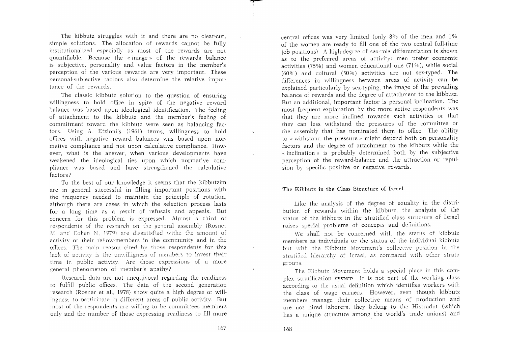The kibbutz struggles with it and there are no clear-cut, simple solutions. The allocation of rewards cannot be fully institutionalized especially as most of the rewards are not quantifiable. Because the «image» of the rewards balance is subjective, personality and value factors in the member's perception of the various rewards are very important. These personal-subjective factors also determine the relative importance of the rewards.

The classic kibbutz solution to the question of ensuring willingness to hold office in spite of the negative reward balance was based upon ideological identification. The feeling of attachment to the kibbutz and the member's feeling of commitment toward the kibbutz were seen as balancing factors. Using A. Etzioni's (1961) terms, willingness to hold offices with negative reward balances was based upon normative compliance and not upon calculative compliance. However, what is the answer, when various developments have weakened the ideological ties upon which normative compliance was based and have strengthened the calculative factors?

To the best of our knowledge it seems that the kibbutzim are in general successful in filling important positions with the frequency needed to maintain the principle of rotation, although there are cases in which the selection process lasts for a long time as a result of refusals and appeals. But concern for this problem is expressed. Almost a third of respondents of the research on the general assembly (Rosner M. and Cohen N, 1979) are dissatisfied withe the amount of activity of their fellow~members in the community and in the offices. The main reason cited by those respondents for this lack of activity is the unwilligness of members to invest their time in public activity. Are those expressions of a more general phenomenon of member's apathy?

Research data are not unequivocal regarding the readiness to fulfill public offices. The data of the second generation research (Rosner et al.. 1978) show quite a high degree of willingness to particinate in different areas of public activity. But most of the respondents are willing to be committees members only and the number of those expressing readiness to fill more central offices was very limited (only 8% of the men and 1%) of the women are ready to fill one of the two central full-time job positions). A high-degree of sex-role differentiation is shown as to the preferred areas of activity: men prefer economic activities (75%) and women educational one (71%), while social (60%) and cultural (50%) activities are not sex-typed. The differences in willingness between areas of activity can be explained particularly by sex-typing, the image of the prevailing balance of rewards and the degree of attachment to the kibbutz. But an additional, important factor is personal inclination. The most frequent explanation by the more active respondents was that they are more inclined towards such activities or that they can less withstand the pressures of the committee or the assembly that has nominated them to office. The ability to « withstand the pressure » might depend both on personality factors and the degree of attachment to the kibbutz while the « inclination» is probably determined both by the subjective perception of the reward-balance and the attraction or repulsion bv specific positive or negative rewards.

## The Kibbutz **in** the Class Structure of Israel.

Like the analysis of the degree of equality in the distribution of rewards within the kibbutz, the analysis of the status of the kibbutz in the stratified class structure of Israel raises special problems of concepts and definitions.

We shall not be concerned with the status of kibbutz members as individuals or the status of the individual kibbutz but with the Kibbutz Movement's collective position in the stratified hierarchy of Israel, as compared with other strata groups.

The Kibbutz Movement holds a special place in this complex stratification system. It is not part of the working class according to the usual definition which identifies workers with the class of wage earners. However, even though kibbutz members manage their collective means of production and are not hired laborers, they belong to the Histradut (which has a unique structure among the world's trade unions) and

 $\sim$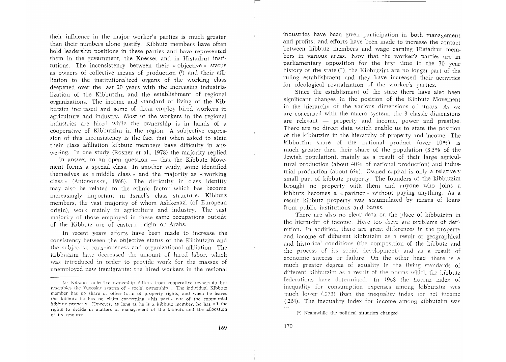their influence in the major worker's parties is much greater than their numbers alone justify. Kibbutz members have often hold leadership positions in these parties and have represented them in the government, the Knesset and in Histadrut institutions. The inconsistency between their « objective» status as owners of collective means of production  $(5)$  and their affiliation to the institutionalized organs of the working class deepened over the last 20 years with the increasing industria~ lization of the Kibbutzim and the establishment of regional organizations. The income and standard of living of the Kibbutzim increased and some of them employ hired workers in agriculture and industry. Most of the workers in the regional industries are hired while the ownership is in hands of a cooperative of Kibbutzim in the region. A subjective expression of this inconsistency is the fact that when asked to state their class affiliation kibbutz members have difficulty in ans~ wering. In one study (Rosner et a1., 1978) the majority replied  $-$  in answer to an open question  $-$  that the Kibbutz Movement forms a special class. In another study, some identified themselves as « middle class » and the majority as « working class» (Antonovsky, 1968). The difficulty in class identity may also be related to the ethnic factor which has become increasingly important in Israel's class structure. Kibbutz members, the vast majority of whom Ashkenazi (of European origin), work mainly in agriculture and industry. The vast majority of those employed in these same occupations outside of the Kibbutz are of eastern origin or Arabs.

In recent years efforts have been made to increase the consistency between the objective status of the Kibbutzim and the subjective consciousness and organizational affiliation. The Kibbutzim have decreased the amount of hired labor, which was introduced in order to provide work for the masses of unemployed new immigrants; the hired workers in the regional

industries have been given participation in both management and profits; and efforts have been made to increase the contact between kibbutz members and wage earning Histadrut members in various areas. Now that the worker's parties are in parliamentary opposition for the first time in the 30 year history of the state  $(*)$ , the Kibbutzim are no longer part of the ruling establishment and they have increased their activities for ideological revitalization of the worker's parties.

Since the establisment of the state there have also been significant changes in the position of the Kibbutz Movement in the hierarchy of the various dimensions of status. As we are concerned with the macro system, the 3 classic dimensions are relevant  $-$  property and income, power and prestige. There are no direct data which enable us to state the position of the kibbutzim in the hierarchy of property and income. The kibbutzim share of the national product (over  $10\%$ ) is much greater than their share of the population (3.3% of the Jewish population), mainly as a result of their large agricultural production (about 40% of national production) and industrial production (about  $6\%$ ). Owned capital is only a relatively small part of kibbutz property. The founders of the kibbutzim brought no property with them and anyone who joins a kibbutz becomes a « partner» without paying anything. As a result kibbutz property was accumulated by means of loans from public institutions and banks. .

There are also no clear data on the place of kibbutzim in the hierarchy of income. Here too there are problems of definition. In addition, there are great differences in the property and income of different kibbutzim as a result of geographical and historical conditions (the composition of the kibbutz and the process of its social development) and as a result of economic success or failure. On the other hand, there is a much greater degree of equalitv in the living standards of different kibbutzim as a result of the norms which the kibbutz federations haye determined. In 1968 the Lorenz index of inequality for consumption expenses among kibbutzim was much lower (073) than the inequality index for net income (.204). The inequality index for income among kibbutzim was

<sup>(5)</sup> Kibbutz collective ownership differs from cooperative ownership but resembles the Yugoslav system of  $\alpha$  social ownership ». The individual Kibbutz member has no share or other form of property rights, and when he leaves the kibbutz he has no claim concerning «his part» out of the communial kibbutz properly. Howeycr, as long as he is a kibbutz member, he has all the rights to decide in matters of management of the kibbutz and the allocation of its resources.

 $(*)$  Neamwhile the political situation changed.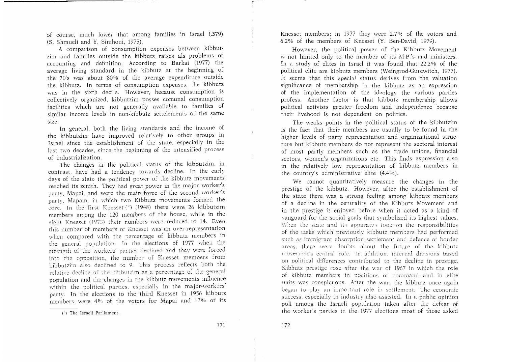of course, much lower that among families in Israel (.379) (S. Shmueli and Y. Simhoni, 1975).

A comparison of consumption expenses between kibbutzim and families outside the kibbutz raises als problems of accounting and definition. According to Barkai (1977) the average living standard in the kibbutz at the beginning of the  $70'$ s was about  $80\%$  of the average expenditure outside the kibbutz. In terms of consumption expenses, the kibbutz was in the sixth decile. However, because consumption is collectively organized, kibbutzim posses comunal consumption facilities which are not generally available to families of similar income levels in non-kibbutz settelements of the same size.

In general, both the living standards and the income of the kibbutzim have improved relatively to other groups in Israel since the establishment of the state, especially in the last two decades, since the beginning of the intensified process of industrialization.

The changes in the political status of the kibbutzim, in contrast, have had a tendency towards decline. In the early days of the state the political power of the kibbutz movements reached its zenith. They had great power in the major worker's party, Mapai, and were the main force of the second worker's party, Mapam, in which two Kibbutz movements formed the core. In the first Knesset  $(*)$  (1948) there were 26 kibbutzim members among the 120 members of the house, while in the eight Knesset (1973) their numbers were reduced to 14. Even this number of members of Knesset was an over-representation when compared with the percentage of kibbutz members in the general population. In the elections of 1977 when the strength of the workers' parties declined and they were forced into the opposition, the number of Knesset members from kibbutzim also declined to 9. This process reflects both the relative decline of the kibbutzim as a percentage of the general population and the changes in the kibbutz movements influence within the political parties. especially in the major-workers' party. In the elections to the third Knesset in 1956 kibbutz members were 4% of the voters for Mapai and 17% of its Knesset members; in 1977 they were 2.7% of the voters and 6.2 % of the members of Knesset (Y. Ben-David, 1979).

However, the political power of the Kibbutz Movement is not limited only to the member of its M.P.'s and ministers. In a study of elites in Israel it was found that 22.2% of the political elite are kibbutz members (Weingrod-Gurewitch, 1977). It seems that this special status derives from the valuation significance of membership in the kibbutz as an expression of the implementation of the ideology the various parties profess. Another factor is that kibbutz membership allows political activists greater freedom and independence because their livehood is not dependent on politics.

The weaks points in the political status of the kibbutzim is the fact that their members are usually to be found in the higher levels of party representation and organizational structure but kibbutz members do not represent the sectoral interest of most partly members such as the trade unions, financial sectors, women's organizations etc. This finds expression also in the relatively low representation of kibbutz members in the country's administrative elite (4.4%).

We cannot quantitatively measure the changes in the prestige of the kibbutz. However, after the establishment of the state there was a strong feeling among kibbutz members of a decline in the centralitv of the Kibbutz Movement and in the prestige it enjoyed before when it acted as a kind of yanguard for the social goals that symbolized its highest values. When the state and its apparatus took on the responsibilities of the tasks which preyiously kibbutz members had performed such as immigrant absorption settlement and defence of border areas, there were doubts about the future of the kibbutz movement's central role. In addition, internal divisions based on political differences contributed to the decline in prestige. Kibbutz prestige rose after the war of 1967 in which the role of kibbutz members in positions of command and in elite units was conspicuous. After the war, the kibbutz once again began to play an important role in settlement. The economic success, especially in industry also assisted. In a public opinion poll among the Israeli population taken after the defeat of the worker's parties in the 1977 elections most of those asked

<sup>(\*)</sup> The Israeli Parliament.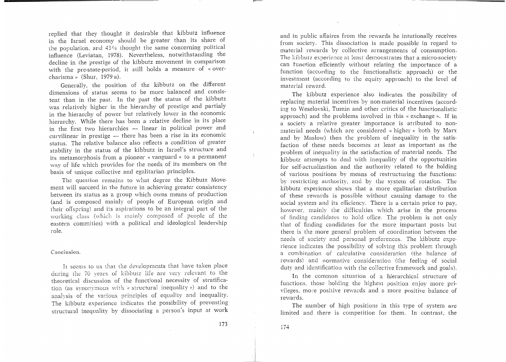replied that they thought it desirable that kibbutz influence in the Israel economy should be greater than its share of Lhe population, and 43% thought the same concerning political influence (Leviatan, 1978). Nevertheless, notwithstanding the decline in the prestige of the kibbutz movement in comparison with the pre-state-period, it still holds a measure of  $*$  overcharisma» (Shur, 1979 a).

Generally, the position of the kibbutz on the different dimensions of status seems to be more balanced and consistent than in the past. In the past the status of the kibbutz was relatively higher in the hierarchy of prestige and partialy in the hierarchy of power but relatively lower in the economic hierarchy. While there has been a relative decline in its place in the first two hierarchies - linear in political power and curvilinear in prestige — there has been a rise in its economic status. The relative balance also reflects a condition of greater stability in the status of the kibbutz in Israel's structure and its metamorphosis from a pioneer « vanguard » to a permanent wav of life which provides for the needs of its members on the basis of unique collective and egalitarian principles.

The question remains to what degree the Kibbutz Movement will succeed in the future in achieving greater consistency between its status as a group which owns means of production (and is composed mainly of people of European origin and their offspring) and its aspirations to be an integral part of the working class (which is mainly composed of people of the eastern commities) with a political and ideological leadership role.

Conclusion.

It seems to us that the developments that have taken place during the 70 years of kibbutz life are very releyant to the theoretical discussion of the functional necessity of stratification (as synonymous with « structural inequality») and to the analysis of the various principles of equality and inequality. The kibbutz experience indicates the possibility of preventing structural inequality by dissociating a person's input at work and in public affaires from the rewards he intutionally receives from society. This dissociation is made possible in regard to material rewards by collective arrangements of consumption. The kibbutz experience at least demonstrates that a micro-society can function efficiently without relating the importance of a function (according to the functionalistic approach) or the investment (according to the equity approach) to the level of material reward.

-

The kibbutz experience also indicates the possibility of replacing material incentives by non-material incentives (according to Weselovski, Tumin and other critics of the functionalistic approach) and the problems involved in this « exchange ». If in a society a relative greater importance is atributed to nonmaterial needs (which are considered « higher» both by Marx and by Maslow) then the problem of inequality in the satisfaction of these needs becomes at least as important as the problem of inequality in the satisfaction of material needs. The kibbutz attempts to deal with inequality of the opportunities for self-actualization and the authority related to the holding of various positions by means of restructuring the functions: by restricting authority, and by the system of rotation. The kibbutz experience shows that a more egalitarian distribution of these rewards is possible without causing damage to the social system and its efficiency. There is a certain price to pay, however, mainly the difficulties which arise in the process of finding candidates to hold office. The problem is not only that of finding candidates for the more important posts but there is the more general problem of coordination between the needs of society and personal preferences. The kibbutz experience indicates the possibility of solving this problem through a combination of calcuiative consideration (the balance of rewards) and normative consideration (the feeling of social duty and identification with the collective framework and goals).

In the common situation of a hierarchical structure of functions, those holding the highest position enjoy more privileges, more positive rewards and a more positive balance of rewards.

The number of high positions in this type of system are limited and there is competition for them. In contrast, the

 $\frac{1}{2}$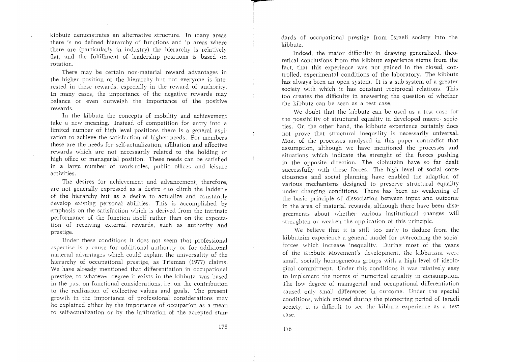kibbutz demonstrates an alternative structure. In many areas there is no defined hierarchy of functions and in areas where there are (particularly in industry) the hierarchy is relatively flat, and the fulfillment of leadership positions is based on rotation.

There may be certain non-material reward advantages in the higher position of the hierarchy but not everyone is interested in these rewards, especially in the reward of authority. In many cases, the importance of the negative rewards may balance or even outweigh the importance of the positive rewards.

In the kibbutz the concepts of mobility and achievement take a new meaning. Instead of competition for entry into a limited number of high level positions there is a general aspiration to achieve the satisfaction of higher needs. For members these are the needs for self-actualization, affiliation and affective rewards which are not necessarily related to the holding of high office or managerial position. These needs can be satisfied in a large number of work-roles, public offices and leisure activities.

The desires for achievement and advancement, therefore, are not generally expressed as a desire «to climb the ladder» of the hierarchy but as a desire to actualize and constantly develop existing personal abilities. This is accomplished by emphasis on the satisfaction which is derived from the intrinsic performance of the function itself rather than on the expectation of receiving external rewards, such as authority and prestige.

Under these conditions it does not seem that professional expertise is a cause for additional authority or for additional material advantages which could explain the universality of the hierarchy of occupational prestige, as Trieman (1977) claims. We have already mentioned that differentiation in occupational prestige, to whatever degree it exists in the kibbutz, was based in the past on functional considerations, i.e. on the contribution to the realization of collective values and goals. The present growth in the importance of professional considerations may be explained either by the importance of occupation as a mean to self-actualization or by the infiltration of the accepted stan-

dards of occupational prestige from Israeli society into the kibbutz.

Indeed, the major difficulty in drawing generalized, theoretical conclusions from the kibbutz experience stems from the fact, that this experience was not gained in the closed, controlled, experimental conditions of the laboratory. The kibbutz has always been an open system. It is a sub-system of a greater society with which it has constant reciprocal relations. This too creates the difficulty in answering the question of whether the kibbutz can be seen as a test case.

We doubt that the kibbutz can be used as a test case for the possibility of structural equality in developed macro· societies. On the other hand, the kibbutz experience certainly does not prove that structural inequality is necessarily universal. Most of the processes analysed in this paper contradict that assumption, although we have mentioned the processes and situations which indicate the strenght of the forces pushing in the opposite direction. The kibbutzim have so far dealt successfully with these forces. The high level of social consciousness and social planning have enabled the adaption of various mechanisms designed to preserve structural equality under changing conditions. There has been no weakening of the basic principle of dissociation between input and outcome in the area of material rewards, although there have been disagreements about whether various institutional changes will strenghten or weaken the application of this principle.

We believe that it is still too early to deduce from the kibbutzim experience a general model for overcoming the social forces which increase inequality. During most of the years of the Kibbutz Movement's development, the kibbutzim were small, socially homogeneous groups with a high level of ideological commitment. Under this conditions it was relatively easy to implement the norms of numerical equality in consumption. The low degree of managerial and occupational differentiation caused only small differences in outcome. Under the special conditions, which existed during the pioneering period of Israeli society, it is difficult to see the kibbutz experience as a test case.

*p=* 

 $\mathcal{L} = 100$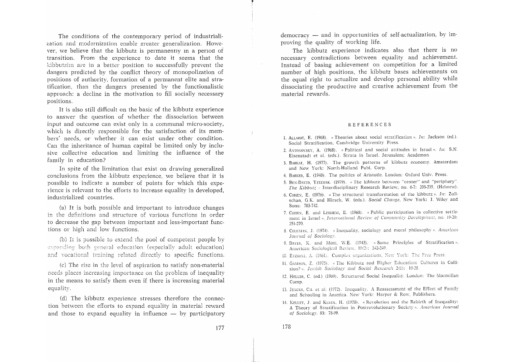The conditions of the contemporary period of industrialization and modernization enable greater generalization. However, we believe that the kibbutz is permanently in a period of transition. From the experience to date it seems that the kibbutzim are in a better position to successfully prevent the dangers predicted by the conflict theory of monopolization of positions of authority, formation of a permanent elite and stratification, than the dangers presented by the functionalistic approach: a decline in the motivation to fill socially necessary positions.

It is also still difficult on the basic of the kibbutz experience to answer the question of whether the dissociation between input and outcome can exist only in a communal micro-society, which is directly responsible for the satisfaction of its *mem*bers' needs, or whether it can exist under other condition. Can the inheritance of human capital be limited only by inclusive collective education and limiting the influence of the family in education?

In spite of the limitation that exist on drawing generalized conclusions from the kibbutz experience, we believe that it is possible to indicate a number of points for which this experience is relevant to the efforts to increase equality in developed, industrialized countries.

(a) It is both possible and important to introduce changes in the definitions and structure of various functions in order to decrease the gap between important and less-important functions or high and low functions.

(b) It is possible to extend the pool of competent people by expanding both general education (especially adult education) and vocational training related directly to specific functions.

(c) The rise in the level of aspiration to satisfy non-material needs places increasing importance on the problem of inequality in the means to satisfy them even if there is increasing material equality.

(d) The kibbutz experience stresses therefore the connection between the efforts to expand equality in material reward and those to expand equality in influence  $-$  by participatory

democracy - and in opportunities of self-actualization, by improving the quality of working life.

The kibbutz experience indicates also that there is no necessary contradictions between equality and achievement. Instead of basing achievement on competition for a limited number of high positions, the kibbutz bases achievements on the equal right to actualize and develop personal ability while dissociating the productive and creative achievement from the material rewards.

#### REFERENCES

- 1. ALLARDT, E. (1968). «Theories about social stratification ». 111: Jackson (ed.). Social Stratification, Cambridge University Press.
- 2. ANTONOVSKY, A. (1968). « Political and social attitudes in Israel ». In: S.N. Eisenstadt et al. (eds.). Strata in Israel. Jerusalem; Academon.
- 3. BARKAI, H. (1977). The growth patterns of kibbutz economy. Amsterdam and New York: North-Holland PubL Corp
- 4. BARKER, E. (1948). The politics of Aristotle. London: Oxford Univ. Press.
- 5. BEN-DAVID, YITZHAK. (1979). « The kibbutz between "center" and "periphery" *The Kibbutz* - Interdisciplinary Research Review, no. 6-7: 203-235. (Hebrew).
- 6. COHEN: E. (1976), « The structural transformation of the kibbutz ». In: Zollschan, G.K. and Hirsch, W. (eds.). Social Change, New York: J. Wiley and Sons: 703-742.
- 7. COHEN: E. and LESHEM. E. (1968). « Public participation in collective settlelnent in Israel ». *International Review of Community Development*, no. 19-20: 251-270.
- 8. COLEMAN: J. (1974). « Inequality, sociology and moral philosophy». *American* Journal of Sociology.
- 9. DAVIS, K. and MORE, W.E. (1945). « Some Principles of Stratification ». American Sociological Review, 10(2): 242-249.
- 10. ETZIONI, A. (1961). Complex organizations, New York: The Free Press.
- 11. GAMSON, Z. (1975). « The Kibbutz and Higher Education: Cultures in Collision?». *Jewish Sociology and Social Research* 2(1): 10-28
- 12. HELLER, C. (ed.) (1969). Structured Social Inequality. London: The Macmillan Comp.
- 13. JENCKS, CH. et al. (1972). Inequality. A Reassessment of the Effect of Family and Schooling in America. New York: Harper & Row, Publishers.
- 14. KELLEY, J. and KLEIN, H. (1978). « Revolution and the Rebirth of Inequality: A Theory of Stratification in Postrevolutionary Society ». American Journal *of Sociology.* 83: 78-99.

 $\sim$   $\sim$ 

178